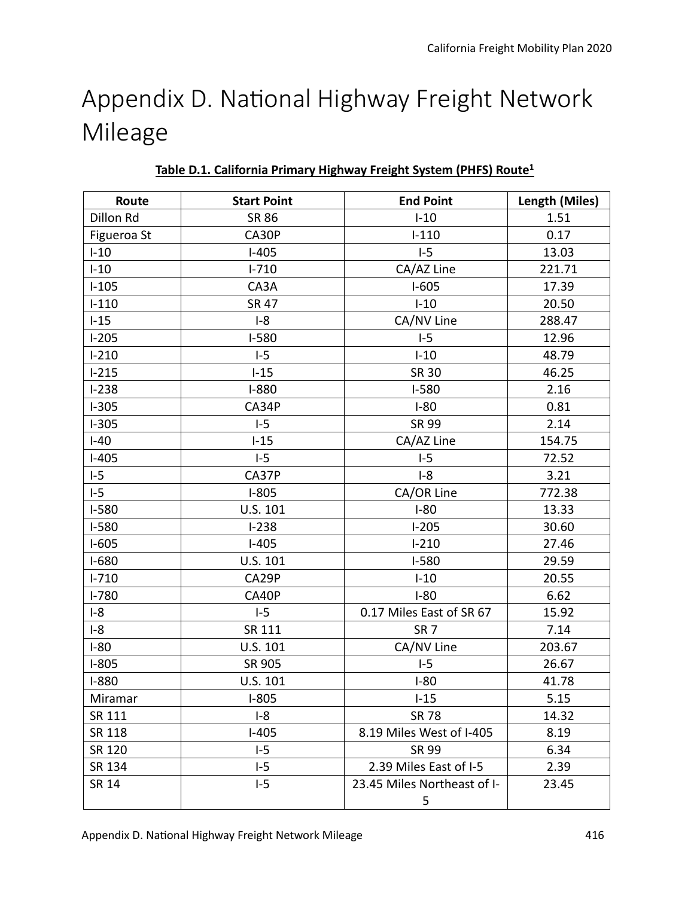# Appendix D. National Highway Freight Network Mileage

| Route        | <b>Start Point</b> | <b>End Point</b>            | Length (Miles) |
|--------------|--------------------|-----------------------------|----------------|
| Dillon Rd    | <b>SR 86</b>       | $I-10$                      | 1.51           |
| Figueroa St  | CA30P              | $I-110$                     | 0.17           |
| $I-10$       | $I-405$            | $I-5$                       | 13.03          |
| $I-10$       | $I - 710$          | CA/AZ Line                  | 221.71         |
| $I-105$      | CA3A               | $I-605$                     | 17.39          |
| $I-110$      | <b>SR 47</b>       | $I-10$                      | 20.50          |
| $I-15$       | $I-8$              | CA/NV Line                  | 288.47         |
| $I-205$      | $I-580$            | $I-5$                       | 12.96          |
| $I-210$      | $I-5$              | $I-10$                      | 48.79          |
| $I-215$      | $I-15$             | <b>SR 30</b>                | 46.25          |
| $I-238$      | $I-880$            | $I-580$                     | 2.16           |
| $I-305$      | CA34P              | $I-80$                      | 0.81           |
| $I-305$      | $I-5$              | <b>SR 99</b>                | 2.14           |
| $I-40$       | $I-15$             | CA/AZ Line                  | 154.75         |
| $I-405$      | $I-5$              | $I-5$                       | 72.52          |
| $I-5$        | CA37P              | $I-8$                       | 3.21           |
| $I-5$        | $1-805$            | CA/OR Line                  | 772.38         |
| $I-580$      | U.S. 101           | $I-80$                      | 13.33          |
| $I-580$      | $I-238$            | $I-205$                     | 30.60          |
| $I-605$      | $I-405$            | $I-210$                     | 27.46          |
| $I-680$      | U.S. 101           | $I-580$                     | 29.59          |
| $I - 710$    | CA29P              | $I-10$                      | 20.55          |
| $I - 780$    | CA40P              | $I-80$                      | 6.62           |
| $I-8$        | $I-5$              | 0.17 Miles East of SR 67    | 15.92          |
| $I-8$        | SR 111             | SR <sub>7</sub>             | 7.14           |
| $I-80$       | U.S. 101           | CA/NV Line                  | 203.67         |
| $I-805$      | SR 905             | $I-5$                       | 26.67          |
| $I-880$      | U.S. 101           | $I-80$                      | 41.78          |
| Miramar      | $I-805$            | $I-15$                      | 5.15           |
| SR 111       | $I-8$              | <b>SR 78</b>                | 14.32          |
| SR 118       | $I-405$            | 8.19 Miles West of I-405    | 8.19           |
| SR 120       | $-5$               | <b>SR 99</b>                | 6.34           |
| SR 134       | $-5$               | 2.39 Miles East of I-5      | 2.39           |
| <b>SR 14</b> | $I-5$              | 23.45 Miles Northeast of I- | 23.45          |
|              |                    | 5                           |                |

**Table D.1. California Primary Highway Freight System (PHFS) Route<sup>1</sup>**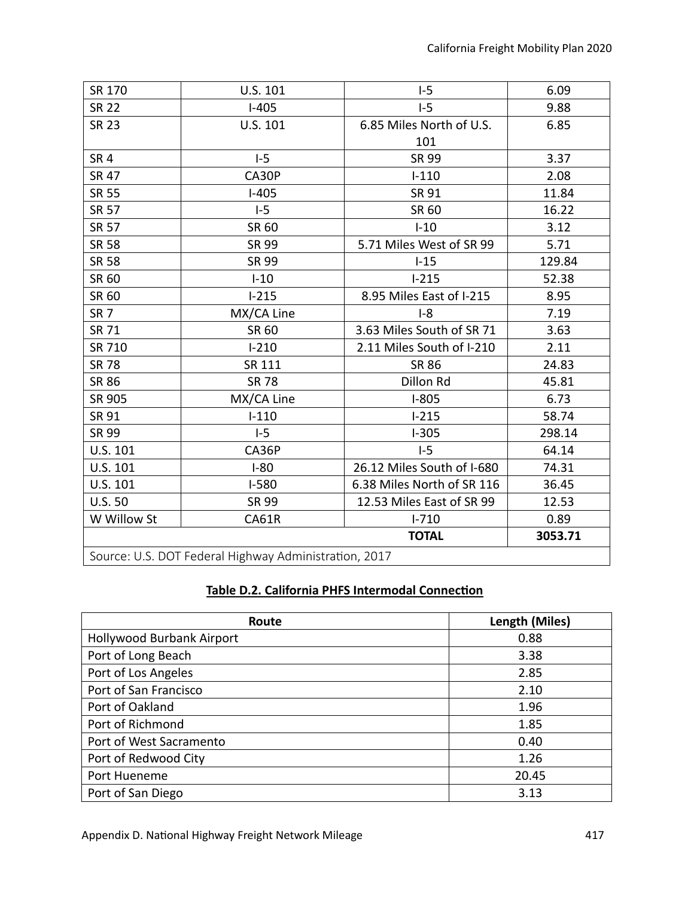| SR 170                                                | U.S. 101     | $I-5$                      | 6.09    |
|-------------------------------------------------------|--------------|----------------------------|---------|
| <b>SR 22</b>                                          | $I-405$      | $I-5$                      | 9.88    |
| <b>SR 23</b>                                          | U.S. 101     | 6.85 Miles North of U.S.   | 6.85    |
|                                                       |              | 101                        |         |
| SR <sub>4</sub>                                       | $I-5$        | <b>SR 99</b>               | 3.37    |
| <b>SR 47</b>                                          | CA30P        | $I-110$                    | 2.08    |
| <b>SR 55</b>                                          | $I-405$      | <b>SR 91</b>               | 11.84   |
| <b>SR 57</b>                                          | $I-5$        | SR 60                      | 16.22   |
| <b>SR 57</b>                                          | SR 60        | $I-10$                     | 3.12    |
| <b>SR 58</b>                                          | SR 99        | 5.71 Miles West of SR 99   | 5.71    |
| <b>SR 58</b>                                          | SR 99        | $-15$                      | 129.84  |
| SR 60                                                 | $I-10$       | $I-215$                    | 52.38   |
| SR 60                                                 | $1-215$      | 8.95 Miles East of I-215   | 8.95    |
| SR <sub>7</sub>                                       | MX/CA Line   | $I-8$                      | 7.19    |
| <b>SR 71</b>                                          | SR 60        | 3.63 Miles South of SR 71  | 3.63    |
| SR 710                                                | $I-210$      | 2.11 Miles South of I-210  | 2.11    |
| <b>SR 78</b>                                          | SR 111       | <b>SR 86</b>               | 24.83   |
| <b>SR 86</b>                                          | <b>SR 78</b> | Dillon Rd                  | 45.81   |
| SR 905                                                | MX/CA Line   | $I-805$                    | 6.73    |
| <b>SR 91</b>                                          | $I-110$      | $I-215$                    | 58.74   |
| SR 99                                                 | $I-5$        | $I-305$                    | 298.14  |
| U.S. 101                                              | CA36P        | $-5$                       | 64.14   |
| U.S. 101                                              | $I-80$       | 26.12 Miles South of I-680 | 74.31   |
| U.S. 101                                              | $I-580$      | 6.38 Miles North of SR 116 | 36.45   |
| U.S.50                                                | SR 99        | 12.53 Miles East of SR 99  | 12.53   |
| W Willow St                                           | <b>CA61R</b> | $I - 710$                  | 0.89    |
|                                                       |              | <b>TOTAL</b>               | 3053.71 |
| Source: U.S. DOT Federal Highway Administration, 2017 |              |                            |         |

#### **Table D.2. California PHFS Intermodal Connecton**

| Route                     | Length (Miles) |
|---------------------------|----------------|
| Hollywood Burbank Airport | 0.88           |
| Port of Long Beach        | 3.38           |
| Port of Los Angeles       | 2.85           |
| Port of San Francisco     | 2.10           |
| Port of Oakland           | 1.96           |
| Port of Richmond          | 1.85           |
| Port of West Sacramento   | 0.40           |
| Port of Redwood City      | 1.26           |
| Port Hueneme              | 20.45          |
| Port of San Diego         | 3.13           |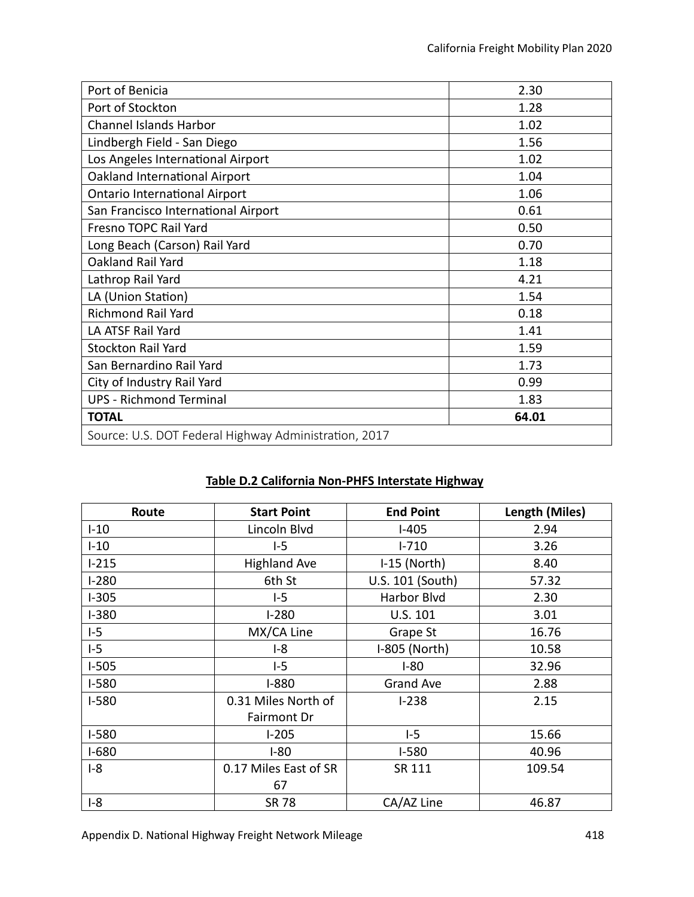| Port of Benicia                                       | 2.30  |  |
|-------------------------------------------------------|-------|--|
| Port of Stockton                                      | 1.28  |  |
| <b>Channel Islands Harbor</b>                         | 1.02  |  |
| Lindbergh Field - San Diego                           | 1.56  |  |
| Los Angeles International Airport                     | 1.02  |  |
| Oakland International Airport                         | 1.04  |  |
| <b>Ontario International Airport</b>                  | 1.06  |  |
| San Francisco International Airport                   | 0.61  |  |
| Fresno TOPC Rail Yard                                 | 0.50  |  |
| Long Beach (Carson) Rail Yard                         | 0.70  |  |
| Oakland Rail Yard                                     | 1.18  |  |
| Lathrop Rail Yard                                     | 4.21  |  |
| LA (Union Station)                                    | 1.54  |  |
| <b>Richmond Rail Yard</b>                             | 0.18  |  |
| LA ATSF Rail Yard                                     | 1.41  |  |
| <b>Stockton Rail Yard</b>                             | 1.59  |  |
| San Bernardino Rail Yard                              | 1.73  |  |
| City of Industry Rail Yard                            | 0.99  |  |
| <b>UPS - Richmond Terminal</b>                        | 1.83  |  |
| <b>TOTAL</b>                                          | 64.01 |  |
| Source: U.S. DOT Federal Highway Administration, 2017 |       |  |

## **Table D.2 California Non-PHFS Interstate Highway**

| Route   | <b>Start Point</b>    | <b>End Point</b> | Length (Miles) |
|---------|-----------------------|------------------|----------------|
| $I-10$  | Lincoln Blvd          | $I-405$          | 2.94           |
| $-10$   | $I-5$                 | $I - 710$        | 3.26           |
| $1-215$ | <b>Highland Ave</b>   | $I-15$ (North)   | 8.40           |
| $1-280$ | 6th St                | U.S. 101 (South) | 57.32          |
| $I-305$ | $I-5$                 | Harbor Blvd      | 2.30           |
| $I-380$ | $1 - 280$             | U.S. 101         | 3.01           |
| $I-5$   | MX/CA Line            | Grape St         | 16.76          |
| $I-5$   | $I-8$                 | I-805 (North)    | 10.58          |
| $I-505$ | $I-5$                 | $I-80$           | 32.96          |
| $I-580$ | $I-880$               | <b>Grand Ave</b> | 2.88           |
| $I-580$ | 0.31 Miles North of   | $1 - 238$        | 2.15           |
|         | Fairmont Dr           |                  |                |
| $I-580$ | $1-205$               | $I-5$            | 15.66          |
| $I-680$ | $I-80$                | $I-580$          | 40.96          |
| $I-8$   | 0.17 Miles East of SR | SR 111           | 109.54         |
|         | 67                    |                  |                |
| $I-8$   | SR 78                 | CA/AZ Line       | 46.87          |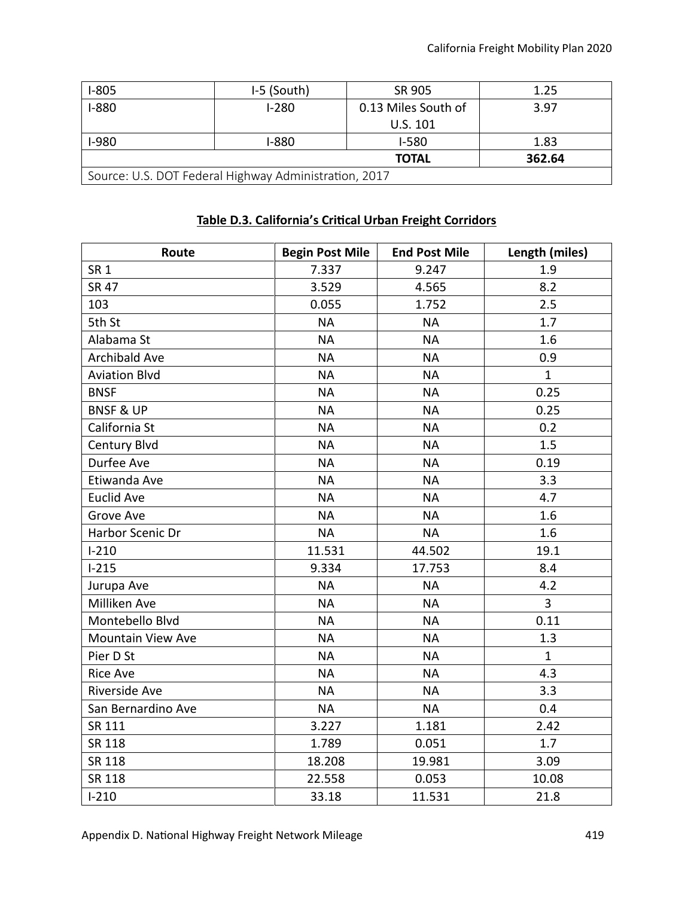| $1-805$                                               | I-5 (South) | SR 905              | 1.25 |  |  |
|-------------------------------------------------------|-------------|---------------------|------|--|--|
| $I-880$                                               | $I-280$     | 0.13 Miles South of | 3.97 |  |  |
|                                                       |             | U.S. 101            |      |  |  |
| $I-980$                                               | I-880       | $I-580$             | 1.83 |  |  |
| 362.64<br><b>TOTAL</b>                                |             |                     |      |  |  |
| Source: U.S. DOT Federal Highway Administration, 2017 |             |                     |      |  |  |

#### **Table D.3. California's Critcal Urban Freight Corridors**

| Route                    | <b>Begin Post Mile</b> | <b>End Post Mile</b> | Length (miles) |
|--------------------------|------------------------|----------------------|----------------|
| SR <sub>1</sub>          | 7.337                  | 9.247                | 1.9            |
| <b>SR 47</b>             | 3.529                  | 4.565                | 8.2            |
| 103                      | 0.055                  | 1.752                | 2.5            |
| 5th St                   | <b>NA</b>              | <b>NA</b>            | 1.7            |
| Alabama St               | <b>NA</b>              | <b>NA</b>            | 1.6            |
| <b>Archibald Ave</b>     | <b>NA</b>              | <b>NA</b>            | 0.9            |
| <b>Aviation Blvd</b>     | <b>NA</b>              | <b>NA</b>            | $\mathbf{1}$   |
| <b>BNSF</b>              | <b>NA</b>              | <b>NA</b>            | 0.25           |
| <b>BNSF &amp; UP</b>     | <b>NA</b>              | <b>NA</b>            | 0.25           |
| California St            | <b>NA</b>              | <b>NA</b>            | 0.2            |
| Century Blvd             | <b>NA</b>              | <b>NA</b>            | 1.5            |
| Durfee Ave               | <b>NA</b>              | <b>NA</b>            | 0.19           |
| Etiwanda Ave             | <b>NA</b>              | <b>NA</b>            | 3.3            |
| <b>Euclid Ave</b>        | <b>NA</b>              | <b>NA</b>            | 4.7            |
| Grove Ave                | <b>NA</b>              | <b>NA</b>            | 1.6            |
| Harbor Scenic Dr         | <b>NA</b>              | <b>NA</b>            | 1.6            |
| $I-210$                  | 11.531                 | 44.502               | 19.1           |
| $I-215$                  | 9.334                  | 17.753               | 8.4            |
| Jurupa Ave               | <b>NA</b>              | <b>NA</b>            | 4.2            |
| Milliken Ave             | <b>NA</b>              | <b>NA</b>            | 3              |
| Montebello Blvd          | <b>NA</b>              | <b>NA</b>            | 0.11           |
| <b>Mountain View Ave</b> | <b>NA</b>              | <b>NA</b>            | 1.3            |
| Pier D St                | <b>NA</b>              | <b>NA</b>            | $\mathbf{1}$   |
| <b>Rice Ave</b>          | <b>NA</b>              | <b>NA</b>            | 4.3            |
| Riverside Ave            | <b>NA</b>              | <b>NA</b>            | 3.3            |
| San Bernardino Ave       | <b>NA</b>              | <b>NA</b>            | 0.4            |
| SR 111                   | 3.227                  | 1.181                | 2.42           |
| SR 118                   | 1.789                  | 0.051                | 1.7            |
| SR 118                   | 18.208                 | 19.981               | 3.09           |
| SR 118                   | 22.558                 | 0.053                | 10.08          |
| $I-210$                  | 33.18                  | 11.531               | 21.8           |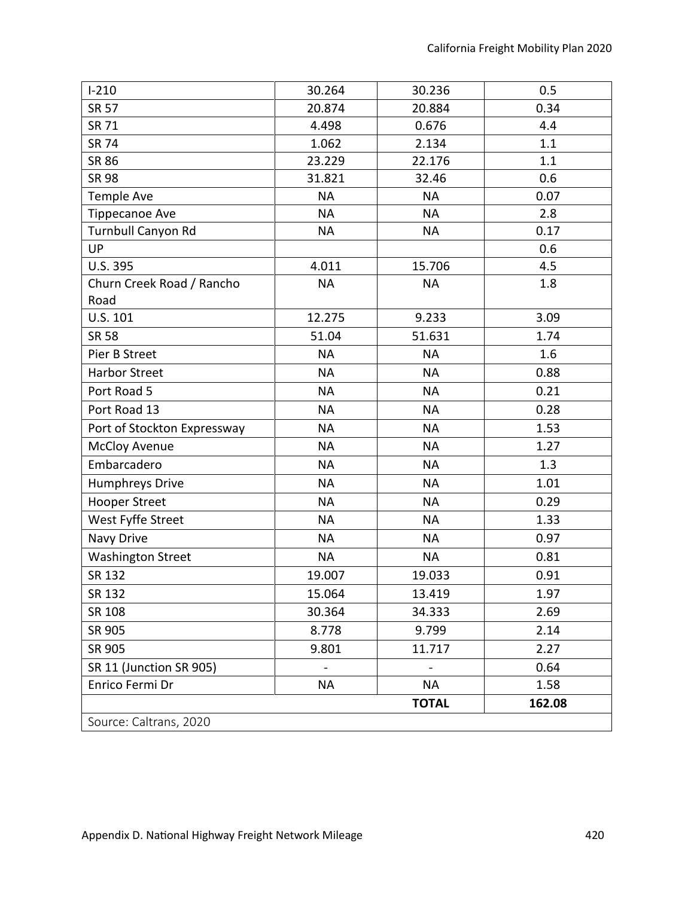| $I-210$                           | 30.264    | 30.236       | 0.5    |
|-----------------------------------|-----------|--------------|--------|
| <b>SR 57</b>                      | 20.874    | 20.884       | 0.34   |
| <b>SR 71</b>                      | 4.498     | 0.676        | 4.4    |
| <b>SR 74</b>                      | 1.062     | 2.134        | 1.1    |
| <b>SR 86</b>                      | 23.229    | 22.176       | 1.1    |
| <b>SR 98</b>                      | 31.821    | 32.46        | 0.6    |
| Temple Ave                        | <b>NA</b> | <b>NA</b>    | 0.07   |
| <b>Tippecanoe Ave</b>             | <b>NA</b> | <b>NA</b>    | 2.8    |
| Turnbull Canyon Rd                | <b>NA</b> | <b>NA</b>    | 0.17   |
| UP                                |           |              | 0.6    |
| U.S. 395                          | 4.011     | 15.706       | 4.5    |
| Churn Creek Road / Rancho<br>Road | <b>NA</b> | <b>NA</b>    | 1.8    |
| U.S. 101                          | 12.275    | 9.233        | 3.09   |
| <b>SR 58</b>                      | 51.04     | 51.631       | 1.74   |
| Pier B Street                     | <b>NA</b> | <b>NA</b>    | 1.6    |
| <b>Harbor Street</b>              | <b>NA</b> | <b>NA</b>    | 0.88   |
| Port Road 5                       | <b>NA</b> | <b>NA</b>    | 0.21   |
| Port Road 13                      | <b>NA</b> | <b>NA</b>    | 0.28   |
| Port of Stockton Expressway       | <b>NA</b> | <b>NA</b>    | 1.53   |
| <b>McCloy Avenue</b>              | <b>NA</b> | <b>NA</b>    | 1.27   |
| Embarcadero                       | <b>NA</b> | <b>NA</b>    | 1.3    |
| Humphreys Drive                   | <b>NA</b> | <b>NA</b>    | 1.01   |
| <b>Hooper Street</b>              | <b>NA</b> | <b>NA</b>    | 0.29   |
| West Fyffe Street                 | <b>NA</b> | <b>NA</b>    | 1.33   |
| Navy Drive                        | <b>NA</b> | <b>NA</b>    | 0.97   |
| <b>Washington Street</b>          | <b>NA</b> | <b>NA</b>    | 0.81   |
| SR 132                            | 19.007    | 19.033       | 0.91   |
| SR 132                            | 15.064    | 13.419       | 1.97   |
| SR 108                            | 30.364    | 34.333       | 2.69   |
| SR 905                            | 8.778     | 9.799        | 2.14   |
| SR 905                            | 9.801     | 11.717       | 2.27   |
| SR 11 (Junction SR 905)           |           |              | 0.64   |
| Enrico Fermi Dr                   | NA        | <b>NA</b>    | 1.58   |
|                                   |           | <b>TOTAL</b> | 162.08 |
| Source: Caltrans, 2020            |           |              |        |